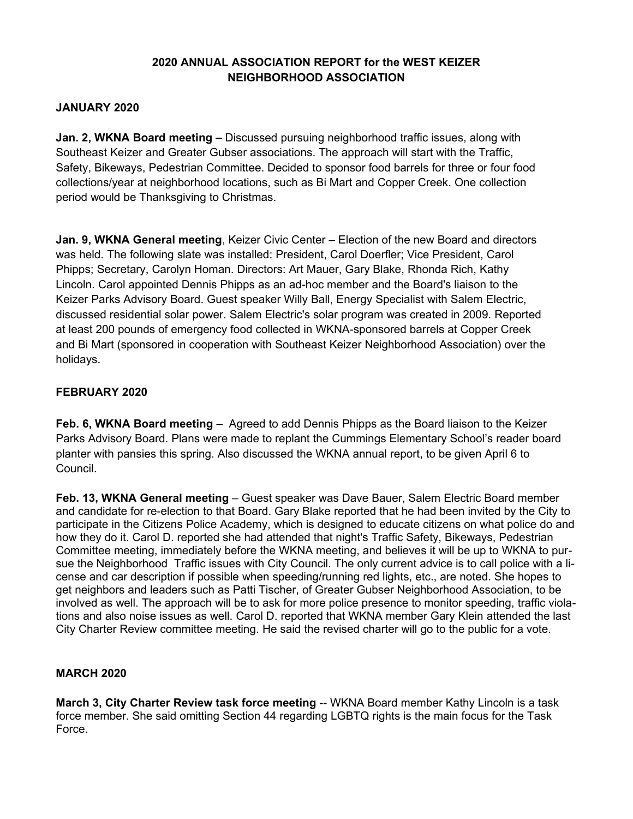## **2020 ANNUAL ASSOCIATION REPORT for the WEST KEIZER NEIGHBORHOOD ASSOCIATION**

### **JANUARY 2020**

**Jan. 2, WKNA Board meeting –** Discussed pursuing neighborhood traffic issues, along with Southeast Keizer and Greater Gubser associations. The approach will start with the Traffic, Safety, Bikeways, Pedestrian Committee. Decided to sponsor food barrels for three or four food collections/year at neighborhood locations, such as Bi Mart and Copper Creek. One collection period would be Thanksgiving to Christmas.

**Jan. 9, WKNA General meeting**, Keizer Civic Center – Election of the new Board and directors was held. The following slate was installed: President, Carol Doerfler; Vice President, Carol Phipps; Secretary, Carolyn Homan. Directors: Art Mauer, Gary Blake, Rhonda Rich, Kathy Lincoln. Carol appointed Dennis Phipps as an ad-hoc member and the Board's liaison to the Keizer Parks Advisory Board. Guest speaker Willy Ball, Energy Specialist with Salem Electric, discussed residential solar power. Salem Electric's solar program was created in 2009. Reported at least 200 pounds of emergency food collected in WKNA-sponsored barrels at Copper Creek and Bi Mart (sponsored in cooperation with Southeast Keizer Neighborhood Association) over the holidays.

# **FEBRUARY 2020**

**Feb. 6, WKNA Board meeting** – Agreed to add Dennis Phipps as the Board liaison to the Keizer Parks Advisory Board. Plans were made to replant the Cummings Elementary School's reader board planter with pansies this spring. Also discussed the WKNA annual report, to be given April 6 to Council.

**Feb. 13, WKNA General meeting** – Guest speaker was Dave Bauer, Salem Electric Board member and candidate for re-election to that Board. Gary Blake reported that he had been invited by the City to participate in the Citizens Police Academy, which is designed to educate citizens on what police do and how they do it. Carol D. reported she had attended that night's Traffic Safety, Bikeways, Pedestrian Committee meeting, immediately before the WKNA meeting, and believes it will be up to WKNA to pursue the Neighborhood Traffic issues with City Council. The only current advice is to call police with a license and car description if possible when speeding/running red lights, etc., are noted. She hopes to get neighbors and leaders such as Patti Tischer, of Greater Gubser Neighborhood Association, to be involved as well. The approach will be to ask for more police presence to monitor speeding, traffic violations and also noise issues as well. Carol D. reported that WKNA member Gary Klein attended the last City Charter Review committee meeting. He said the revised charter will go to the public for a vote.

#### **MARCH 2020**

**March 3, City Charter Review task force meeting** -- WKNA Board member Kathy Lincoln is a task force member. She said omitting Section 44 regarding LGBTQ rights is the main focus for the Task Force.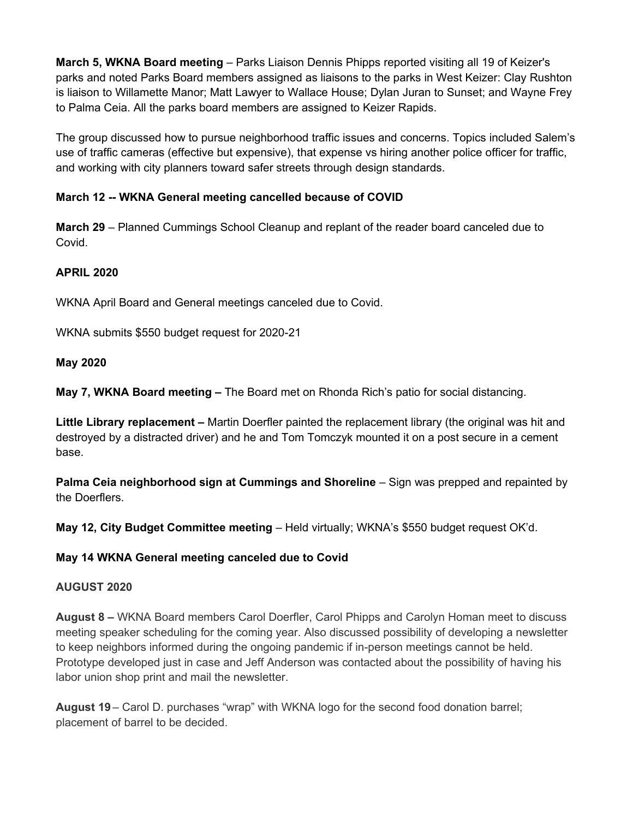**March 5, WKNA Board meeting** – Parks Liaison Dennis Phipps reported visiting all 19 of Keizer's parks and noted Parks Board members assigned as liaisons to the parks in West Keizer: Clay Rushton is liaison to Willamette Manor; Matt Lawyer to Wallace House; Dylan Juran to Sunset; and Wayne Frey to Palma Ceia. All the parks board members are assigned to Keizer Rapids.

The group discussed how to pursue neighborhood traffic issues and concerns. Topics included Salem's use of traffic cameras (effective but expensive), that expense vs hiring another police officer for traffic, and working with city planners toward safer streets through design standards.

# **March 12 -- WKNA General meeting cancelled because of COVID**

**March 29** – Planned Cummings School Cleanup and replant of the reader board canceled due to Covid.

## **APRIL 2020**

WKNA April Board and General meetings canceled due to Covid.

WKNA submits \$550 budget request for 2020-21

#### **May 2020**

**May 7, WKNA Board meeting –** The Board met on Rhonda Rich's patio for social distancing.

**Little Library replacement –** Martin Doerfler painted the replacement library (the original was hit and destroyed by a distracted driver) and he and Tom Tomczyk mounted it on a post secure in a cement base.

**Palma Ceia neighborhood sign at Cummings and Shoreline** – Sign was prepped and repainted by the Doerflers.

**May 12, City Budget Committee meeting** – Held virtually; WKNA's \$550 budget request OK'd.

#### **May 14 WKNA General meeting canceled due to Covid**

#### **AUGUST 2020**

**August 8 –** WKNA Board members Carol Doerfler, Carol Phipps and Carolyn Homan meet to discuss meeting speaker scheduling for the coming year. Also discussed possibility of developing a newsletter to keep neighbors informed during the ongoing pandemic if in-person meetings cannot be held. Prototype developed just in case and Jeff Anderson was contacted about the possibility of having his labor union shop print and mail the newsletter.

**August 19** – Carol D. purchases "wrap" with WKNA logo for the second food donation barrel; placement of barrel to be decided.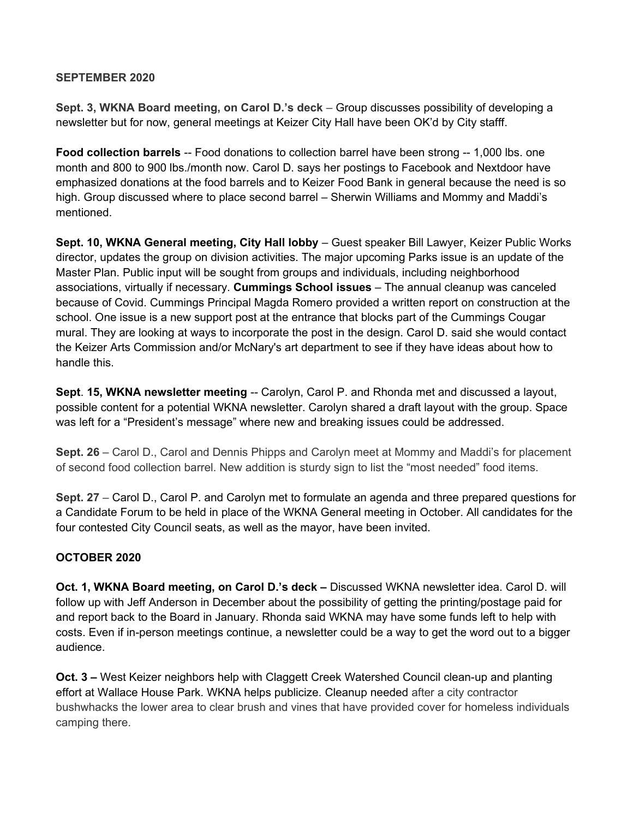### **SEPTEMBER 2020**

**Sept. 3, WKNA Board meeting, on Carol D.'s deck** – Group discusses possibility of developing a newsletter but for now, general meetings at Keizer City Hall have been OK'd by City stafff.

**Food collection barrels** -- Food donations to collection barrel have been strong -- 1,000 lbs. one month and 800 to 900 lbs./month now. Carol D. says her postings to Facebook and Nextdoor have emphasized donations at the food barrels and to Keizer Food Bank in general because the need is so high. Group discussed where to place second barrel – Sherwin Williams and Mommy and Maddi's mentioned.

**Sept. 10, WKNA General meeting, City Hall lobby** – Guest speaker Bill Lawyer, Keizer Public Works director, updates the group on division activities. The major upcoming Parks issue is an update of the Master Plan. Public input will be sought from groups and individuals, including neighborhood associations, virtually if necessary. **Cummings School issues** – The annual cleanup was canceled because of Covid. Cummings Principal Magda Romero provided a written report on construction at the school. One issue is a new support post at the entrance that blocks part of the Cummings Cougar mural. They are looking at ways to incorporate the post in the design. Carol D. said she would contact the Keizer Arts Commission and/or McNary's art department to see if they have ideas about how to handle this.

**Sept**. **15, WKNA newsletter meeting** -- Carolyn, Carol P. and Rhonda met and discussed a layout, possible content for a potential WKNA newsletter. Carolyn shared a draft layout with the group. Space was left for a "President's message" where new and breaking issues could be addressed.

**Sept. 26** – Carol D., Carol and Dennis Phipps and Carolyn meet at Mommy and Maddi's for placement of second food collection barrel. New addition is sturdy sign to list the "most needed" food items.

**Sept. 27** – Carol D., Carol P. and Carolyn met to formulate an agenda and three prepared questions for a Candidate Forum to be held in place of the WKNA General meeting in October. All candidates for the four contested City Council seats, as well as the mayor, have been invited.

# **OCTOBER 2020**

**Oct. 1, WKNA Board meeting, on Carol D.'s deck –** Discussed WKNA newsletter idea. Carol D. will follow up with Jeff Anderson in December about the possibility of getting the printing/postage paid for and report back to the Board in January. Rhonda said WKNA may have some funds left to help with costs. Even if in-person meetings continue, a newsletter could be a way to get the word out to a bigger audience.

**Oct. 3 –** West Keizer neighbors help with Claggett Creek Watershed Council clean-up and planting effort at Wallace House Park. WKNA helps publicize. Cleanup needed after a city contractor bushwhacks the lower area to clear brush and vines that have provided cover for homeless individuals camping there.